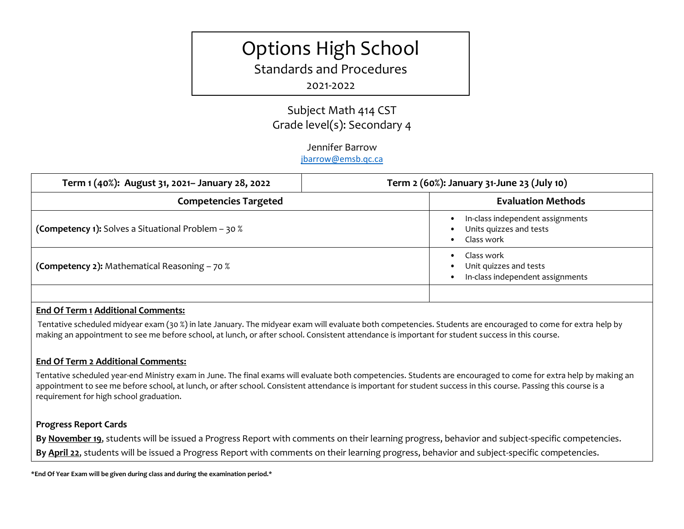# Options High School

Standards and Procedures

# 2021-2022

# Subject Math 414 CST Grade level(s): Secondary 4

## Jennifer Barrow

#### [jbarrow@emsb.qc.ca](mailto:jbarrow@emsb.qc.ca)

| Term 1 (40%): August 31, 2021- January 28, 2022     | Term 2 (60%): January 31-June 23 (July 10)                                |
|-----------------------------------------------------|---------------------------------------------------------------------------|
| <b>Competencies Targeted</b>                        | <b>Evaluation Methods</b>                                                 |
| (Competency 1): Solves a Situational Problem - 30 % | In-class independent assignments<br>Units quizzes and tests<br>Class work |
| (Competency 2): Mathematical Reasoning - 70 %       | Class work<br>Unit quizzes and tests<br>In-class independent assignments  |
|                                                     |                                                                           |

## **End Of Term 1 Additional Comments:**

Tentative scheduled midyear exam (30 %) in late January. The midyear exam will evaluate both competencies. Students are encouraged to come for extra help by making an appointment to see me before school, at lunch, or after school. Consistent attendance is important for student success in this course.

## **End Of Term 2 Additional Comments:**

Tentative scheduled year-end Ministry exam in June. The final exams will evaluate both competencies. Students are encouraged to come for extra help by making an appointment to see me before school, at lunch, or after school. Consistent attendance is important for student success in this course. Passing this course is a requirement for high school graduation.

## **Progress Report Cards**

**By November 19**, students will be issued a Progress Report with comments on their learning progress, behavior and subject-specific competencies. **By April 22**, students will be issued a Progress Report with comments on their learning progress, behavior and subject-specific competencies.

**\*End Of Year Exam will be given during class and during the examination period.\***